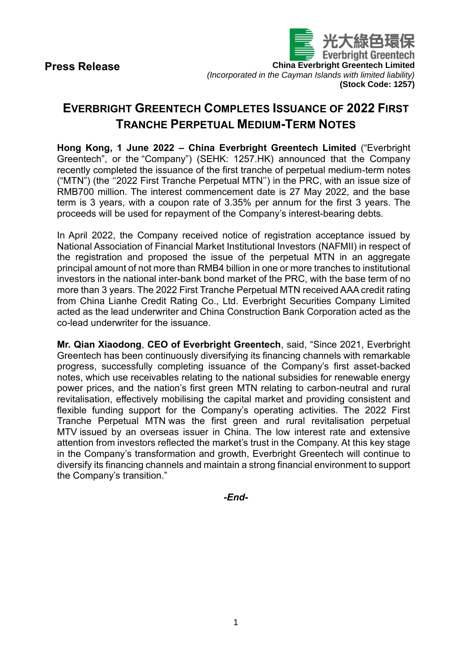

## **EVERBRIGHT GREENTECH COMPLETES ISSUANCE OF 2022 FIRST TRANCHE PERPETUAL MEDIUM-TERM NOTES**

**Hong Kong, 1 June 2022 – China Everbright Greentech Limited** ("Everbright Greentech", or the "Company") (SEHK: 1257.HK) announced that the Company recently completed the issuance of the first tranche of perpetual medium-term notes ("MTN") (the ''2022 First Tranche Perpetual MTN'') in the PRC, with an issue size of RMB700 million. The interest commencement date is 27 May 2022, and the base term is 3 years, with a coupon rate of 3.35% per annum for the first 3 years. The proceeds will be used for repayment of the Company's interest-bearing debts.

In April 2022, the Company received notice of registration acceptance issued by National Association of Financial Market Institutional Investors (NAFMII) in respect of the registration and proposed the issue of the perpetual MTN in an aggregate principal amount of not more than RMB4 billion in one or more tranches to institutional investors in the national inter-bank bond market of the PRC, with the base term of no more than 3 years. The 2022 First Tranche Perpetual MTN received AAA credit rating from China Lianhe Credit Rating Co., Ltd. Everbright Securities Company Limited acted as the lead underwriter and China Construction Bank Corporation acted as the co-lead underwriter for the issuance.

**Mr. Qian Xiaodong**, **CEO of Everbright Greentech**, said, "Since 2021, Everbright Greentech has been continuously diversifying its financing channels with remarkable progress, successfully completing issuance of the Company's first asset-backed notes, which use receivables relating to the national subsidies for renewable energy power prices, and the nation's first green MTN relating to carbon-neutral and rural revitalisation, effectively mobilising the capital market and providing consistent and flexible funding support for the Company's operating activities. The 2022 First Tranche Perpetual MTN was the first green and rural revitalisation perpetual MTV issued by an overseas issuer in China. The low interest rate and extensive attention from investors reflected the market's trust in the Company. At this key stage in the Company's transformation and growth, Everbright Greentech will continue to diversify its financing channels and maintain a strong financial environment to support the Company's transition."

*-End-*